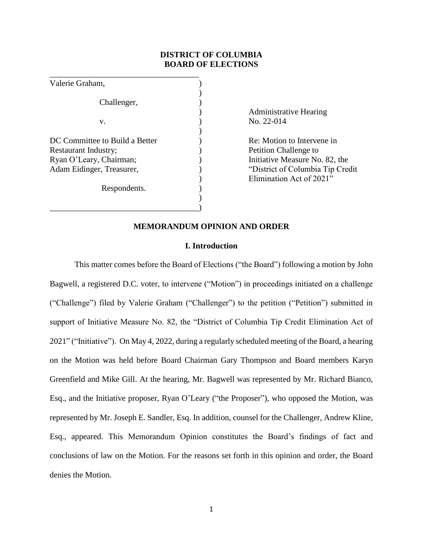## **DISTRICT OF COLUMBIA BOARD OF ELECTIONS**

)

)

\_\_\_\_\_\_\_\_\_\_\_\_\_\_\_\_\_\_\_\_\_\_\_\_\_\_\_\_\_\_\_\_\_\_\_\_ Valerie Graham, ) Challenger, v. ) No. 22-014 DC Committee to Build a Better (a) Re: Motion to Intervene in Restaurant Industry;  $\qquad \qquad$  ) Petition Challenge to Ryan O'Leary, Chairman;  $\qquad \qquad$  ) Initiative Measure No. 82, the Adam Eidinger, Treasurer, ) "District of Columbia Tip Credit Respondents.  $)$ 

\_\_\_\_\_\_\_\_\_\_\_\_\_\_\_\_\_\_\_\_\_\_\_\_\_\_\_\_\_\_\_\_\_\_\_\_)

) Administrative Hearing

) Elimination Act of 2021"

### **MEMORANDUM OPINION AND ORDER**

### **I. Introduction**

This matter comes before the Board of Elections ("the Board") following a motion by John Bagwell, a registered D.C. voter, to intervene ("Motion") in proceedings initiated on a challenge ("Challenge") filed by Valerie Graham ("Challenger") to the petition ("Petition") submitted in support of Initiative Measure No. 82, the "District of Columbia Tip Credit Elimination Act of 2021" ("Initiative"). On May 4, 2022, during a regularly scheduled meeting of the Board, a hearing on the Motion was held before Board Chairman Gary Thompson and Board members Karyn Greenfield and Mike Gill. At the hearing, Mr. Bagwell was represented by Mr. Richard Bianco, Esq., and the Initiative proposer, Ryan O'Leary ("the Proposer"), who opposed the Motion, was represented by Mr. Joseph E. Sandler, Esq. In addition, counsel for the Challenger, Andrew Kline, Esq., appeared. This Memorandum Opinion constitutes the Board's findings of fact and conclusions of law on the Motion. For the reasons set forth in this opinion and order, the Board denies the Motion.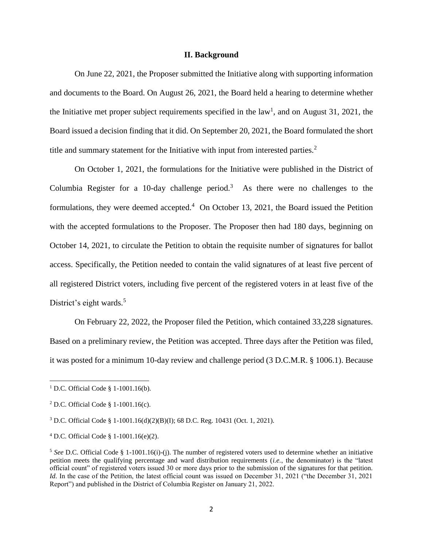### **II. Background**

On June 22, 2021, the Proposer submitted the Initiative along with supporting information and documents to the Board. On August 26, 2021, the Board held a hearing to determine whether the Initiative met proper subject requirements specified in the law<sup>1</sup>, and on August 31, 2021, the Board issued a decision finding that it did. On September 20, 2021, the Board formulated the short title and summary statement for the Initiative with input from interested parties.<sup>2</sup>

On October 1, 2021, the formulations for the Initiative were published in the District of Columbia Register for a 10-day challenge period.<sup>3</sup> As there were no challenges to the formulations, they were deemed accepted.<sup>4</sup> On October 13, 2021, the Board issued the Petition with the accepted formulations to the Proposer. The Proposer then had 180 days, beginning on October 14, 2021, to circulate the Petition to obtain the requisite number of signatures for ballot access. Specifically, the Petition needed to contain the valid signatures of at least five percent of all registered District voters, including five percent of the registered voters in at least five of the District's eight wards.<sup>5</sup>

On February 22, 2022, the Proposer filed the Petition, which contained 33,228 signatures. Based on a preliminary review, the Petition was accepted. Three days after the Petition was filed, it was posted for a minimum 10-day review and challenge period (3 D.C.M.R. § 1006.1). Because

<sup>&</sup>lt;sup>1</sup> D.C. Official Code § 1-1001.16(b).

<sup>2</sup> D.C. Official Code § 1-1001.16(c).

<sup>3</sup> D.C. Official Code § 1-1001.16(d)(2)(B)(I); 68 D.C. Reg. 10431 (Oct. 1, 2021).

<sup>4</sup> D.C. Official Code § 1-1001.16(e)(2).

<sup>&</sup>lt;sup>5</sup> See D.C. Official Code § 1-1001.16(i)-(j). The number of registered voters used to determine whether an initiative petition meets the qualifying percentage and ward distribution requirements (*i.e.*, the denominator) is the "latest official count" of registered voters issued 30 or more days prior to the submission of the signatures for that petition. *Id.* In the case of the Petition, the latest official count was issued on December 31, 2021 ("the December 31, 2021 Report") and published in the District of Columbia Register on January 21, 2022.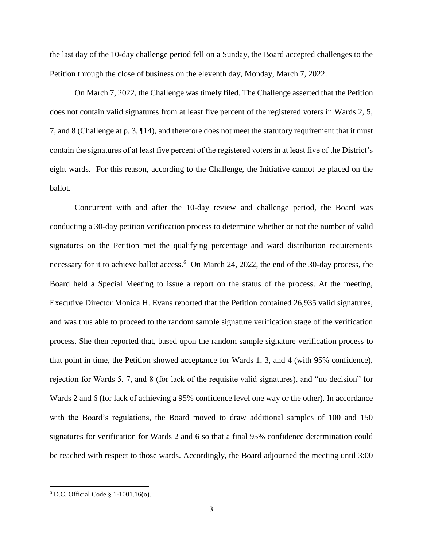the last day of the 10-day challenge period fell on a Sunday, the Board accepted challenges to the Petition through the close of business on the eleventh day, Monday, March 7, 2022.

On March 7, 2022, the Challenge was timely filed. The Challenge asserted that the Petition does not contain valid signatures from at least five percent of the registered voters in Wards 2, 5, 7, and 8 (Challenge at p. 3, ¶14), and therefore does not meet the statutory requirement that it must contain the signatures of at least five percent of the registered voters in at least five of the District's eight wards. For this reason, according to the Challenge, the Initiative cannot be placed on the ballot.

Concurrent with and after the 10-day review and challenge period, the Board was conducting a 30-day petition verification process to determine whether or not the number of valid signatures on the Petition met the qualifying percentage and ward distribution requirements necessary for it to achieve ballot access.<sup>6</sup> On March 24, 2022, the end of the 30-day process, the Board held a Special Meeting to issue a report on the status of the process. At the meeting, Executive Director Monica H. Evans reported that the Petition contained 26,935 valid signatures, and was thus able to proceed to the random sample signature verification stage of the verification process. She then reported that, based upon the random sample signature verification process to that point in time, the Petition showed acceptance for Wards 1, 3, and 4 (with 95% confidence), rejection for Wards 5, 7, and 8 (for lack of the requisite valid signatures), and "no decision" for Wards 2 and 6 (for lack of achieving a 95% confidence level one way or the other). In accordance with the Board's regulations, the Board moved to draw additional samples of 100 and 150 signatures for verification for Wards 2 and 6 so that a final 95% confidence determination could be reached with respect to those wards. Accordingly, the Board adjourned the meeting until 3:00

<sup>6</sup> D.C. Official Code § 1-1001.16(o).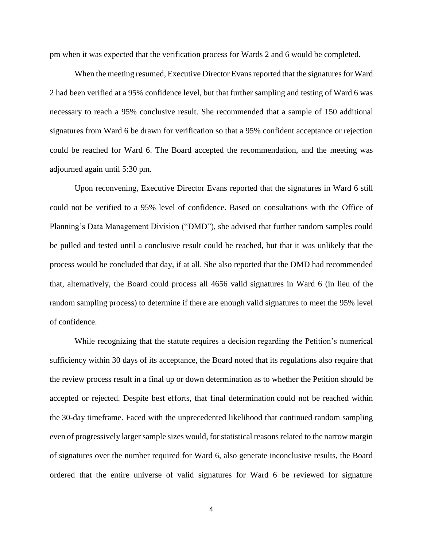pm when it was expected that the verification process for Wards 2 and 6 would be completed.

When the meeting resumed, Executive Director Evans reported that the signatures for Ward 2 had been verified at a 95% confidence level, but that further sampling and testing of Ward 6 was necessary to reach a 95% conclusive result. She recommended that a sample of 150 additional signatures from Ward 6 be drawn for verification so that a 95% confident acceptance or rejection could be reached for Ward 6. The Board accepted the recommendation, and the meeting was adjourned again until 5:30 pm.

Upon reconvening, Executive Director Evans reported that the signatures in Ward 6 still could not be verified to a 95% level of confidence. Based on consultations with the Office of Planning's Data Management Division ("DMD"), she advised that further random samples could be pulled and tested until a conclusive result could be reached, but that it was unlikely that the process would be concluded that day, if at all. She also reported that the DMD had recommended that, alternatively, the Board could process all 4656 valid signatures in Ward 6 (in lieu of the random sampling process) to determine if there are enough valid signatures to meet the 95% level of confidence.

While recognizing that the statute requires a decision regarding the Petition's numerical sufficiency within 30 days of its acceptance, the Board noted that its regulations also require that the review process result in a final up or down determination as to whether the Petition should be accepted or rejected. Despite best efforts, that final determination could not be reached within the 30-day timeframe. Faced with the unprecedented likelihood that continued random sampling even of progressively larger sample sizes would, for statistical reasons related to the narrow margin of signatures over the number required for Ward 6, also generate inconclusive results, the Board ordered that the entire universe of valid signatures for Ward 6 be reviewed for signature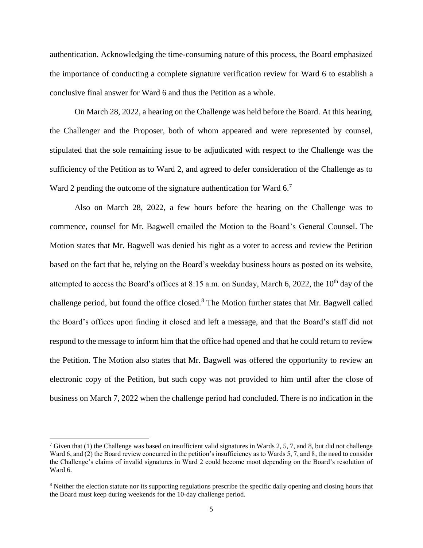authentication. Acknowledging the time-consuming nature of this process, the Board emphasized the importance of conducting a complete signature verification review for Ward 6 to establish a conclusive final answer for Ward 6 and thus the Petition as a whole.

On March 28, 2022, a hearing on the Challenge was held before the Board. At this hearing, the Challenger and the Proposer, both of whom appeared and were represented by counsel, stipulated that the sole remaining issue to be adjudicated with respect to the Challenge was the sufficiency of the Petition as to Ward 2, and agreed to defer consideration of the Challenge as to Ward 2 pending the outcome of the signature authentication for Ward  $6.7$ 

Also on March 28, 2022, a few hours before the hearing on the Challenge was to commence, counsel for Mr. Bagwell emailed the Motion to the Board's General Counsel. The Motion states that Mr. Bagwell was denied his right as a voter to access and review the Petition based on the fact that he, relying on the Board's weekday business hours as posted on its website, attempted to access the Board's offices at 8:15 a.m. on Sunday, March 6, 2022, the  $10<sup>th</sup>$  day of the challenge period, but found the office closed.<sup>8</sup> The Motion further states that Mr. Bagwell called the Board's offices upon finding it closed and left a message, and that the Board's staff did not respond to the message to inform him that the office had opened and that he could return to review the Petition. The Motion also states that Mr. Bagwell was offered the opportunity to review an electronic copy of the Petition, but such copy was not provided to him until after the close of business on March 7, 2022 when the challenge period had concluded. There is no indication in the

<sup>&</sup>lt;sup>7</sup> Given that (1) the Challenge was based on insufficient valid signatures in Wards 2, 5, 7, and 8, but did not challenge Ward 6, and (2) the Board review concurred in the petition's insufficiency as to Wards 5, 7, and 8, the need to consider the Challenge's claims of invalid signatures in Ward 2 could become moot depending on the Board's resolution of Ward 6.

<sup>&</sup>lt;sup>8</sup> Neither the election statute nor its supporting regulations prescribe the specific daily opening and closing hours that the Board must keep during weekends for the 10-day challenge period.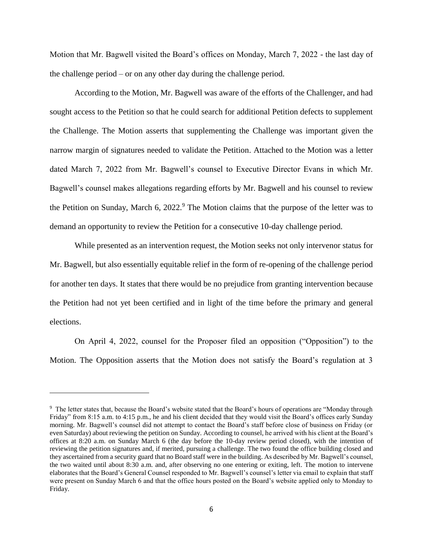Motion that Mr. Bagwell visited the Board's offices on Monday, March 7, 2022 - the last day of the challenge period – or on any other day during the challenge period.

According to the Motion, Mr. Bagwell was aware of the efforts of the Challenger, and had sought access to the Petition so that he could search for additional Petition defects to supplement the Challenge. The Motion asserts that supplementing the Challenge was important given the narrow margin of signatures needed to validate the Petition. Attached to the Motion was a letter dated March 7, 2022 from Mr. Bagwell's counsel to Executive Director Evans in which Mr. Bagwell's counsel makes allegations regarding efforts by Mr. Bagwell and his counsel to review the Petition on Sunday, March 6,  $2022<sup>9</sup>$ . The Motion claims that the purpose of the letter was to demand an opportunity to review the Petition for a consecutive 10-day challenge period.

While presented as an intervention request, the Motion seeks not only intervenor status for Mr. Bagwell, but also essentially equitable relief in the form of re-opening of the challenge period for another ten days. It states that there would be no prejudice from granting intervention because the Petition had not yet been certified and in light of the time before the primary and general elections.

On April 4, 2022, counsel for the Proposer filed an opposition ("Opposition") to the Motion. The Opposition asserts that the Motion does not satisfy the Board's regulation at 3

<sup>&</sup>lt;sup>9</sup> The letter states that, because the Board's website stated that the Board's hours of operations are "Monday through Friday" from 8:15 a.m. to 4:15 p.m., he and his client decided that they would visit the Board's offices early Sunday morning. Mr. Bagwell's counsel did not attempt to contact the Board's staff before close of business on Friday (or even Saturday) about reviewing the petition on Sunday. According to counsel, he arrived with his client at the Board's offices at 8:20 a.m. on Sunday March 6 (the day before the 10-day review period closed), with the intention of reviewing the petition signatures and, if merited, pursuing a challenge. The two found the office building closed and they ascertained from a security guard that no Board staff were in the building. As described by Mr. Bagwell's counsel, the two waited until about 8:30 a.m. and, after observing no one entering or exiting, left. The motion to intervene elaborates that the Board's General Counsel responded to Mr. Bagwell's counsel's letter via email to explain that staff were present on Sunday March 6 and that the office hours posted on the Board's website applied only to Monday to Friday.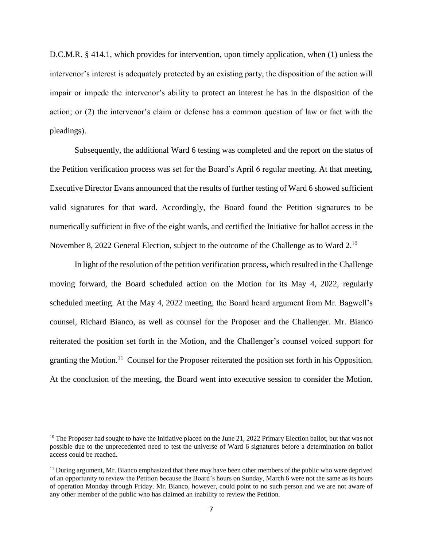D.C.M.R. § 414.1, which provides for intervention, upon timely application, when (1) unless the intervenor's interest is adequately protected by an existing party, the disposition of the action will impair or impede the intervenor's ability to protect an interest he has in the disposition of the action; or (2) the intervenor's claim or defense has a common question of law or fact with the pleadings).

Subsequently, the additional Ward 6 testing was completed and the report on the status of the Petition verification process was set for the Board's April 6 regular meeting. At that meeting, Executive Director Evans announced that the results of further testing of Ward 6 showed sufficient valid signatures for that ward. Accordingly, the Board found the Petition signatures to be numerically sufficient in five of the eight wards, and certified the Initiative for ballot access in the November 8, 2022 General Election, subject to the outcome of the Challenge as to Ward 2.<sup>10</sup>

In light of the resolution of the petition verification process, which resulted in the Challenge moving forward, the Board scheduled action on the Motion for its May 4, 2022, regularly scheduled meeting. At the May 4, 2022 meeting, the Board heard argument from Mr. Bagwell's counsel, Richard Bianco, as well as counsel for the Proposer and the Challenger. Mr. Bianco reiterated the position set forth in the Motion, and the Challenger's counsel voiced support for granting the Motion.<sup>11</sup> Counsel for the Proposer reiterated the position set forth in his Opposition. At the conclusion of the meeting, the Board went into executive session to consider the Motion.

 $\overline{a}$ 

 $10$  The Proposer had sought to have the Initiative placed on the June 21, 2022 Primary Election ballot, but that was not possible due to the unprecedented need to test the universe of Ward 6 signatures before a determination on ballot access could be reached.

 $<sup>11</sup>$  During argument, Mr. Bianco emphasized that there may have been other members of the public who were deprived</sup> of an opportunity to review the Petition because the Board's hours on Sunday, March 6 were not the same as its hours of operation Monday through Friday. Mr. Bianco, however, could point to no such person and we are not aware of any other member of the public who has claimed an inability to review the Petition.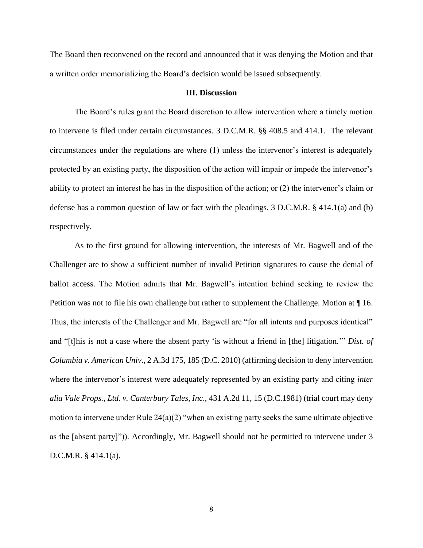The Board then reconvened on the record and announced that it was denying the Motion and that a written order memorializing the Board's decision would be issued subsequently.

#### **III. Discussion**

The Board's rules grant the Board discretion to allow intervention where a timely motion to intervene is filed under certain circumstances. 3 D.C.M.R. §§ 408.5 and 414.1. The relevant circumstances under the regulations are where (1) unless the intervenor's interest is adequately protected by an existing party, the disposition of the action will impair or impede the intervenor's ability to protect an interest he has in the disposition of the action; or (2) the intervenor's claim or defense has a common question of law or fact with the pleadings. 3 D.C.M.R. § 414.1(a) and (b) respectively.

As to the first ground for allowing intervention, the interests of Mr. Bagwell and of the Challenger are to show a sufficient number of invalid Petition signatures to cause the denial of ballot access. The Motion admits that Mr. Bagwell's intention behind seeking to review the Petition was not to file his own challenge but rather to supplement the Challenge. Motion at ¶ 16. Thus, the interests of the Challenger and Mr. Bagwell are "for all intents and purposes identical" and "[t]his is not a case where the absent party 'is without a friend in [the] litigation.'" *Dist. of Columbia v. American Univ*., 2 A.3d 175, 185 (D.C. 2010) (affirming decision to deny intervention where the intervenor's interest were adequately represented by an existing party and citing *inter alia Vale Props., Ltd. v. Canterbury Tales, Inc*., 431 A.2d 11, 15 (D.C.1981) (trial court may deny motion to intervene under Rule 24(a)(2) "when an existing party seeks the same ultimate objective as the [absent party]")). Accordingly, Mr. Bagwell should not be permitted to intervene under 3 D.C.M.R. § 414.1(a).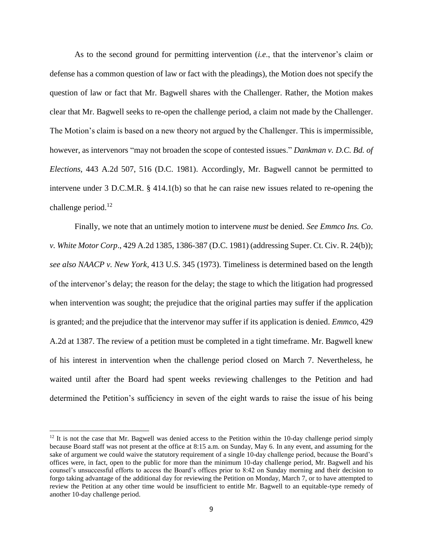As to the second ground for permitting intervention (*i.e*., that the intervenor's claim or defense has a common question of law or fact with the pleadings), the Motion does not specify the question of law or fact that Mr. Bagwell shares with the Challenger. Rather, the Motion makes clear that Mr. Bagwell seeks to re-open the challenge period, a claim not made by the Challenger. The Motion's claim is based on a new theory not argued by the Challenger. This is impermissible, however, as intervenors "may not broaden the scope of contested issues." *Dankman v. D.C. Bd. of Elections*, 443 A.2d 507, 516 (D.C. 1981). Accordingly, Mr. Bagwell cannot be permitted to intervene under 3 D.C.M.R. § 414.1(b) so that he can raise new issues related to re-opening the challenge period. $^{12}$ 

Finally, we note that an untimely motion to intervene *must* be denied. *See Emmco Ins. Co*. *v. White Motor Corp*., 429 A.2d 1385, 1386-387 (D.C. 1981) (addressing Super. Ct. Civ. R. 24(b)); *see also NAACP v. New York*, 413 U.S. 345 (1973). Timeliness is determined based on the length of the intervenor's delay; the reason for the delay; the stage to which the litigation had progressed when intervention was sought; the prejudice that the original parties may suffer if the application is granted; and the prejudice that the intervenor may suffer if its application is denied. *Emmco*, 429 A.2d at 1387. The review of a petition must be completed in a tight timeframe. Mr. Bagwell knew of his interest in intervention when the challenge period closed on March 7. Nevertheless, he waited until after the Board had spent weeks reviewing challenges to the Petition and had determined the Petition's sufficiency in seven of the eight wards to raise the issue of his being

 $\overline{a}$ 

 $12$  It is not the case that Mr. Bagwell was denied access to the Petition within the 10-day challenge period simply because Board staff was not present at the office at 8:15 a.m. on Sunday, May 6. In any event, and assuming for the sake of argument we could waive the statutory requirement of a single 10-day challenge period, because the Board's offices were, in fact, open to the public for more than the minimum 10-day challenge period, Mr. Bagwell and his counsel's unsuccessful efforts to access the Board's offices prior to 8:42 on Sunday morning and their decision to forgo taking advantage of the additional day for reviewing the Petition on Monday, March 7, or to have attempted to review the Petition at any other time would be insufficient to entitle Mr. Bagwell to an equitable-type remedy of another 10-day challenge period.